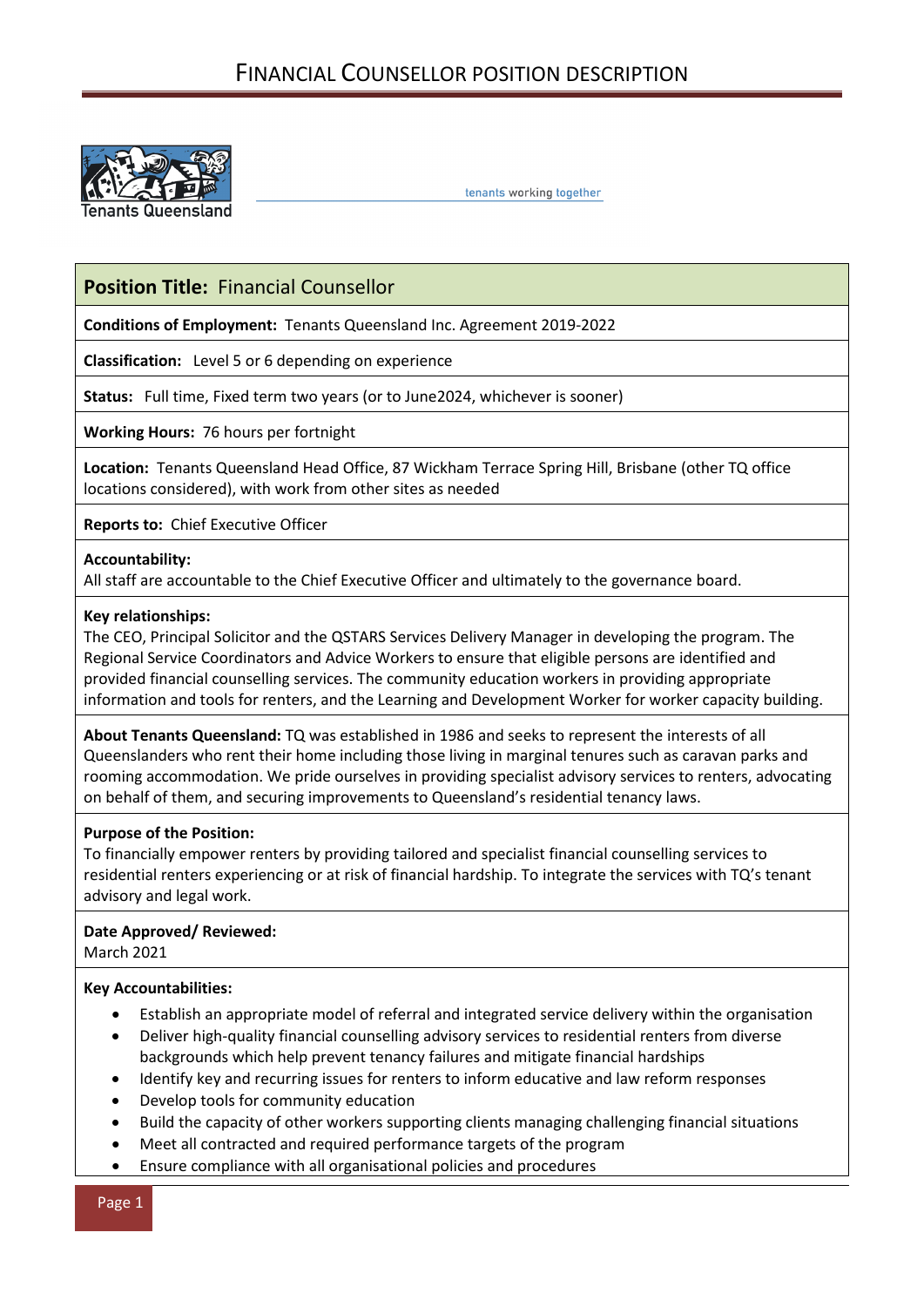

tenants working together

# **Position Title:** Financial Counsellor

**Conditions of Employment:** Tenants Queensland Inc. Agreement 2019-2022

**Classification:** Level 5 or 6 depending on experience

**Status:** Full time, Fixed term two years (or to June2024, whichever is sooner)

**Working Hours:** 76 hours per fortnight

**Location:** Tenants Queensland Head Office, 87 Wickham Terrace Spring Hill, Brisbane (other TQ office locations considered), with work from other sites as needed

**Reports to:** Chief Executive Officer

#### **Accountability:**

All staff are accountable to the Chief Executive Officer and ultimately to the governance board.

## **Key relationships:**

The CEO, Principal Solicitor and the QSTARS Services Delivery Manager in developing the program. The Regional Service Coordinators and Advice Workers to ensure that eligible persons are identified and provided financial counselling services. The community education workers in providing appropriate information and tools for renters, and the Learning and Development Worker for worker capacity building.

**About Tenants Queensland:** TQ was established in 1986 and seeks to represent the interests of all Queenslanders who rent their home including those living in marginal tenures such as caravan parks and rooming accommodation. We pride ourselves in providing specialist advisory services to renters, advocating on behalf of them, and securing improvements to Queensland's residential tenancy laws.

#### **Purpose of the Position:**

To financially empower renters by providing tailored and specialist financial counselling services to residential renters experiencing or at risk of financial hardship. To integrate the services with TQ's tenant advisory and legal work.

# **Date Approved/ Reviewed:**

March 2021

# **Key Accountabilities:**

- Establish an appropriate model of referral and integrated service delivery within the organisation
- Deliver high-quality financial counselling advisory services to residential renters from diverse backgrounds which help prevent tenancy failures and mitigate financial hardships
- Identify key and recurring issues for renters to inform educative and law reform responses
- Develop tools for community education
- Build the capacity of other workers supporting clients managing challenging financial situations
- Meet all contracted and required performance targets of the program
- Ensure compliance with all organisational policies and procedures